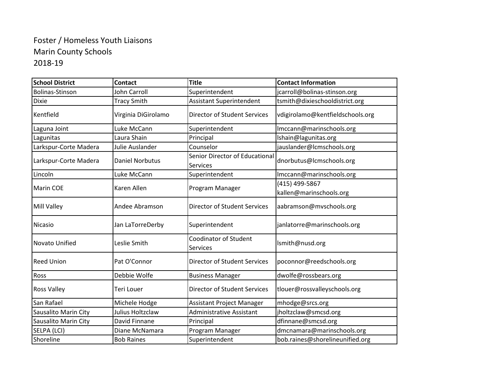## Foster / Homeless Youth Liaisons Marin County Schools 2018-19

| <b>School District</b> | <b>Contact</b>         | <b>Title</b>                               | <b>Contact Information</b>       |
|------------------------|------------------------|--------------------------------------------|----------------------------------|
| <b>Bolinas-Stinson</b> | John Carroll           | Superintendent                             | jcarroll@bolinas-stinson.org     |
| <b>Dixie</b>           | <b>Tracy Smith</b>     | <b>Assistant Superintendent</b>            | tsmith@dixieschooldistrict.org   |
| Kentfield              | Virginia DiGirolamo    | <b>Director of Student Services</b>        | vdigirolamo@kentfieldschools.org |
| Laguna Joint           | Luke McCann            | Superintendent                             | Imccann@marinschools.org         |
| Lagunitas              | Laura Shain            | Principal                                  | Ishain@lagunitas.org             |
| Larkspur-Corte Madera  | Julie Auslander        | Counselor                                  | jauslander@lcmschools.org        |
| Larkspur-Corte Madera  | <b>Daniel Norbutus</b> | Senior Director of Educational<br>Services | dnorbutus@lcmschools.org         |
| Lincoln                | Luke McCann            | Superintendent                             | Imccann@marinschools.org         |
| <b>Marin COE</b>       | Karen Allen            | Program Manager                            | (415) 499-5867                   |
|                        |                        |                                            | kallen@marinschools.org          |
| <b>Mill Valley</b>     | Andee Abramson         | <b>Director of Student Services</b>        | aabramson@mvschools.org          |
| Nicasio                | Jan LaTorreDerby       | Superintendent                             | janlatorre@marinschools.org      |
| Novato Unified         | Leslie Smith           | <b>Coodinator of Student</b><br>Services   | Ismith@nusd.org                  |
| <b>Reed Union</b>      | Pat O'Connor           | <b>Director of Student Services</b>        | poconnor@reedschools.org         |
| Ross                   | Debbie Wolfe           | <b>Business Manager</b>                    | dwolfe@rossbears.org             |
| <b>Ross Valley</b>     | Teri Louer             | Director of Student Services               | tlouer@rossvalleyschools.org     |
| San Rafael             | Michele Hodge          | Assistant Project Manager                  | mhodge@srcs.org                  |
| Sausalito Marin City   | Julius Holtzclaw       | <b>Administrative Assistant</b>            | jholtzclaw@smcsd.org             |
| Sausalito Marin City   | David Finnane          | Principal                                  | dfinnane@smcsd.org               |
| SELPA (LCI)            | Diane McNamara         | Program Manager                            | dmcnamara@marinschools.org       |
| Shoreline              | <b>Bob Raines</b>      | Superintendent                             | bob.raines@shorelineunified.org  |